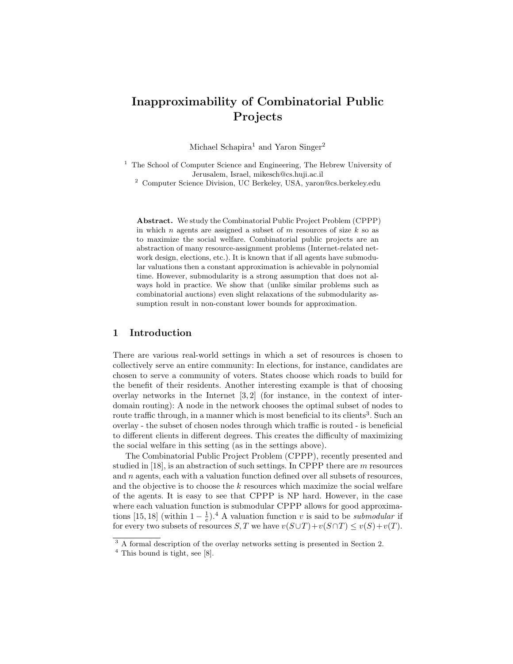# Inapproximability of Combinatorial Public Projects

Michael Schapira<sup>1</sup> and Yaron Singer<sup>2</sup>

<sup>1</sup> The School of Computer Science and Engineering, The Hebrew University of Jerusalem, Israel, mikesch@cs.huji.ac.il

 $^2$  Computer Science Division, UC Berkeley, USA, yaron@cs.berkeley.edu

Abstract. We study the Combinatorial Public Project Problem (CPPP) in which n agents are assigned a subset of  $m$  resources of size  $k$  so as to maximize the social welfare. Combinatorial public projects are an abstraction of many resource-assignment problems (Internet-related network design, elections, etc.). It is known that if all agents have submodular valuations then a constant approximation is achievable in polynomial time. However, submodularity is a strong assumption that does not always hold in practice. We show that (unlike similar problems such as combinatorial auctions) even slight relaxations of the submodularity assumption result in non-constant lower bounds for approximation.

## 1 Introduction

There are various real-world settings in which a set of resources is chosen to collectively serve an entire community: In elections, for instance, candidates are chosen to serve a community of voters. States choose which roads to build for the benefit of their residents. Another interesting example is that of choosing overlay networks in the Internet  $[3, 2]$  (for instance, in the context of interdomain routing): A node in the network chooses the optimal subset of nodes to route traffic through, in a manner which is most beneficial to its clients<sup>3</sup>. Such an overlay - the subset of chosen nodes through which traffic is routed - is beneficial to different clients in different degrees. This creates the difficulty of maximizing the social welfare in this setting (as in the settings above).

The Combinatorial Public Project Problem (CPPP), recently presented and studied in  $[18]$ , is an abstraction of such settings. In CPPP there are  $m$  resources and  $n$  agents, each with a valuation function defined over all subsets of resources, and the objective is to choose the  $k$  resources which maximize the social welfare of the agents. It is easy to see that CPPP is NP hard. However, in the case where each valuation function is submodular CPPP allows for good approximations [15, 18] (within  $1 - \frac{1}{e}$ ).<sup>4</sup> A valuation function v is said to be *submodular* if for every two subsets of resources S, T we have  $v(S \cup T)+v(S \cap T) \leq v(S)+v(T)$ .

 $\overline{3}$  A formal description of the overlay networks setting is presented in Section 2.

 $4$  This bound is tight, see [8].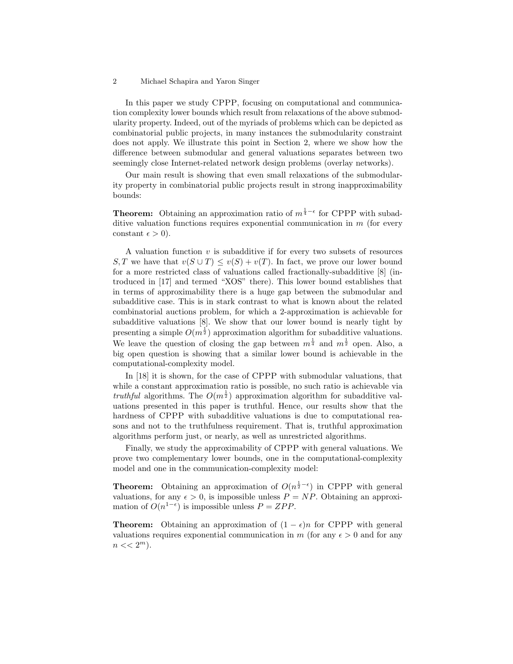#### 2 Michael Schapira and Yaron Singer

In this paper we study CPPP, focusing on computational and communication complexity lower bounds which result from relaxations of the above submodularity property. Indeed, out of the myriads of problems which can be depicted as combinatorial public projects, in many instances the submodularity constraint does not apply. We illustrate this point in Section 2, where we show how the difference between submodular and general valuations separates between two seemingly close Internet-related network design problems (overlay networks).

Our main result is showing that even small relaxations of the submodularity property in combinatorial public projects result in strong inapproximability bounds:

**Theorem:** Obtaining an approximation ratio of  $m^{\frac{1}{4}-\epsilon}$  for CPPP with subadditive valuation functions requires exponential communication in  $m$  (for every constant  $\epsilon > 0$ ).

A valuation function  $v$  is subadditive if for every two subsets of resources S, T we have that  $v(S \cup T) \le v(S) + v(T)$ . In fact, we prove our lower bound for a more restricted class of valuations called fractionally-subadditive [8] (introduced in [17] and termed "XOS" there). This lower bound establishes that in terms of approximability there is a huge gap between the submodular and subadditive case. This is in stark contrast to what is known about the related combinatorial auctions problem, for which a 2-approximation is achievable for subadditive valuations [8]. We show that our lower bound is nearly tight by presenting a simple  $O(m^{\frac{1}{2}})$  approximation algorithm for subadditive valuations. We leave the question of closing the gap between  $m^{\frac{1}{4}}$  and  $m^{\frac{1}{2}}$  open. Also, a big open question is showing that a similar lower bound is achievable in the computational-complexity model.

In [18] it is shown, for the case of CPPP with submodular valuations, that while a constant approximation ratio is possible, no such ratio is achievable via truthful algorithms. The  $O(m^{\frac{1}{2}})$  approximation algorithm for subadditive valuations presented in this paper is truthful. Hence, our results show that the hardness of CPPP with subadditive valuations is due to computational reasons and not to the truthfulness requirement. That is, truthful approximation algorithms perform just, or nearly, as well as unrestricted algorithms.

Finally, we study the approximability of CPPP with general valuations. We prove two complementary lower bounds, one in the computational-complexity model and one in the communication-complexity model:

**Theorem:** Obtaining an approximation of  $O(n^{\frac{1}{2}-\epsilon})$  in CPPP with general valuations, for any  $\epsilon > 0$ , is impossible unless  $P = NP$ . Obtaining an approximation of  $O(n^{1-\epsilon})$  is impossible unless  $P = ZPP$ .

**Theorem:** Obtaining an approximation of  $(1 - \epsilon)n$  for CPPP with general valuations requires exponential communication in  $m$  (for any  $\epsilon > 0$  and for any  $n << 2^m$ ).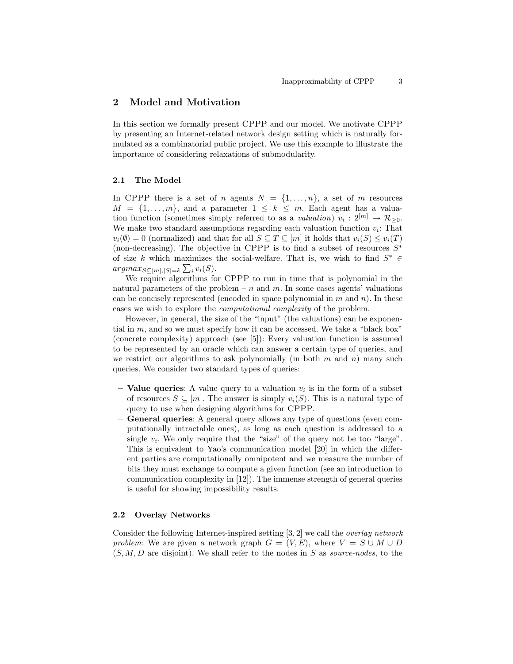## 2 Model and Motivation

In this section we formally present CPPP and our model. We motivate CPPP by presenting an Internet-related network design setting which is naturally formulated as a combinatorial public project. We use this example to illustrate the importance of considering relaxations of submodularity.

#### 2.1 The Model

In CPPP there is a set of n agents  $N = \{1, \ldots, n\}$ , a set of m resources  $M = \{1, \ldots, m\}$ , and a parameter  $1 \leq k \leq m$ . Each agent has a valuation function (sometimes simply referred to as a valuation)  $v_i : 2^{[m]} \to \mathcal{R}_{\geq 0}$ . We make two standard assumptions regarding each valuation function  $v_i$ : That  $v_i(\emptyset) = 0$  (normalized) and that for all  $S \subseteq T \subseteq [m]$  it holds that  $v_i(S) \le v_i(T)$ (non-decreasing). The objective in CPPP is to find a subset of resources  $S^*$ of size k which maximizes the social-welfare. That is, we wish to find  $S^* \in$  $argmax_{S \subseteq [m], |S| = k} \sum_{i} v_i(S).$ 

We require algorithms for CPPP to run in time that is polynomial in the natural parameters of the problem –  $n$  and  $m$ . In some cases agents' valuations can be concisely represented (encoded in space polynomial in  $m$  and  $n$ ). In these cases we wish to explore the computational complexity of the problem.

However, in general, the size of the "input" (the valuations) can be exponential in m, and so we must specify how it can be accessed. We take a "black box" (concrete complexity) approach (see [5]): Every valuation function is assumed to be represented by an oracle which can answer a certain type of queries, and we restrict our algorithms to ask polynomially (in both  $m$  and  $n$ ) many such queries. We consider two standard types of queries:

- **Value queries**: A value query to a valuation  $v_i$  is in the form of a subset of resources  $S \subseteq [m]$ . The answer is simply  $v_i(S)$ . This is a natural type of query to use when designing algorithms for CPPP.
- General queries: A general query allows any type of questions (even computationally intractable ones), as long as each question is addressed to a single  $v_i$ . We only require that the "size" of the query not be too "large". This is equivalent to Yao's communication model [20] in which the different parties are computationally omnipotent and we measure the number of bits they must exchange to compute a given function (see an introduction to communication complexity in [12]). The immense strength of general queries is useful for showing impossibility results.

## 2.2 Overlay Networks

Consider the following Internet-inspired setting [3, 2] we call the overlay network problem: We are given a network graph  $G = (V, E)$ , where  $V = S \cup M \cup D$  $(S, M, D)$  are disjoint). We shall refer to the nodes in S as source-nodes, to the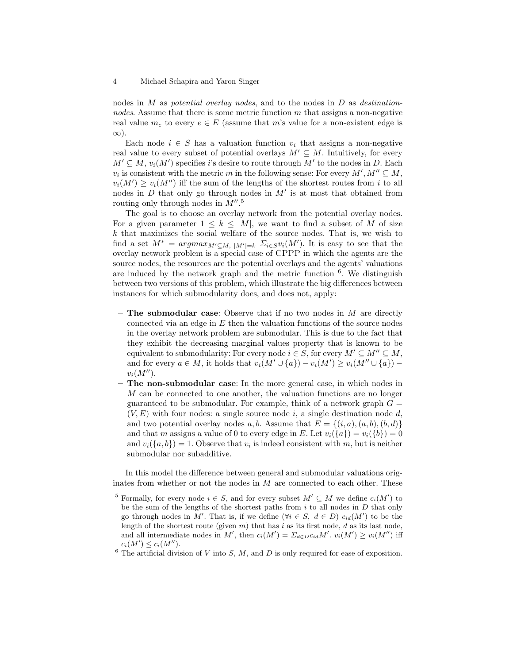nodes in M as potential overlay nodes, and to the nodes in  $D$  as destinationnodes. Assume that there is some metric function m that assigns a non-negative real value  $m_e$  to every  $e \in E$  (assume that m's value for a non-existent edge is ∞).

Each node  $i \in S$  has a valuation function  $v_i$  that assigns a non-negative real value to every subset of potential overlays  $M' \subseteq M$ . Intuitively, for every  $M' \subseteq M$ ,  $v_i(M')$  specifies i's desire to route through  $M'$  to the nodes in D. Each  $v_i$  is consistent with the metric m in the following sense: For every  $M', M'' \subseteq M$ ,  $v_i(M') \geq v_i(M'')$  iff the sum of the lengths of the shortest routes from i to all nodes in  $D$  that only go through nodes in  $M'$  is at most that obtained from routing only through nodes in  $M''$ .<sup>5</sup>

The goal is to choose an overlay network from the potential overlay nodes. For a given parameter  $1 \leq k \leq |M|$ , we want to find a subset of M of size  $k$  that maximizes the social welfare of the source nodes. That is, we wish to find a set  $M^* = argmax_{M' \subseteq M, |M'| = k} \sum_{i \in S} v_i(M')$ . It is easy to see that the overlay network problem is a special case of CPPP in which the agents are the source nodes, the resources are the potential overlays and the agents' valuations are induced by the network graph and the metric function  $6$ . We distinguish between two versions of this problem, which illustrate the big differences between instances for which submodularity does, and does not, apply:

- The submodular case: Observe that if no two nodes in  $M$  are directly connected via an edge in  $E$  then the valuation functions of the source nodes in the overlay network problem are submodular. This is due to the fact that they exhibit the decreasing marginal values property that is known to be equivalent to submodularity: For every node  $i \in S$ , for every  $M' \subseteq M'' \subseteq M$ , and for every  $a \in M$ , it holds that  $v_i(M' \cup \{a\}) - v_i(M') \ge v_i(M' \cup \{a\})$  $v_i(M'')$ .
- The non-submodular case: In the more general case, in which nodes in M can be connected to one another, the valuation functions are no longer guaranteed to be submodular. For example, think of a network graph  $G =$  $(V, E)$  with four nodes: a single source node i, a single destination node d, and two potential overlay nodes a, b. Assume that  $E = \{(i, a), (a, b), (b, d)\}\$ and that m assigns a value of 0 to every edge in E. Let  $v_i({a}) = v_i({b}) = 0$ and  $v_i({a,b}) = 1$ . Observe that  $v_i$  is indeed consistent with m, but is neither submodular nor subadditive.

In this model the difference between general and submodular valuations originates from whether or not the nodes in  $M$  are connected to each other. These

<sup>&</sup>lt;sup>5</sup> Formally, for every node  $i \in S$ , and for every subset  $M' \subseteq M$  we define  $c_i(M')$  to be the sum of the lengths of the shortest paths from  $i$  to all nodes in  $D$  that only go through nodes in M'. That is, if we define  $(\forall i \in S, d \in D)$   $c_{id}(M')$  to be the length of the shortest route (given  $m$ ) that has i as its first node,  $d$  as its last node, and all intermediate nodes in M', then  $c_i(M') = \sum_{d \in D} c_{id} M'$ .  $v_i(M') \ge v_i(M'')$  iff  $c_i(M') \leq c_i(M'').$ 

 $6$  The artificial division of V into S, M, and D is only required for ease of exposition.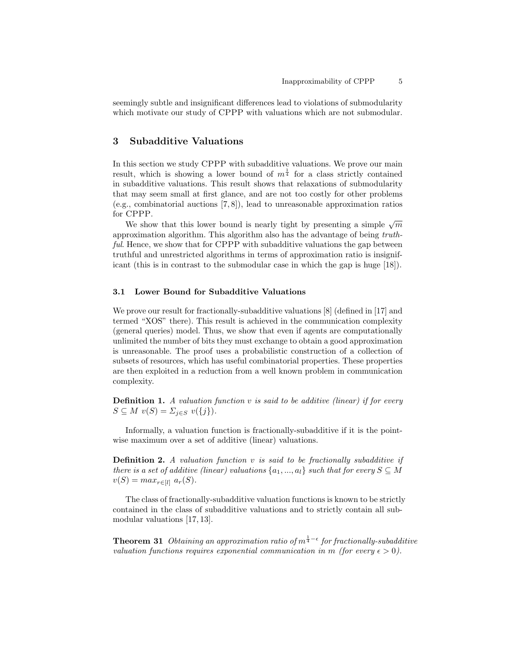seemingly subtle and insignificant differences lead to violations of submodularity which motivate our study of CPPP with valuations which are not submodular.

## 3 Subadditive Valuations

In this section we study CPPP with subadditive valuations. We prove our main result, which is showing a lower bound of  $m^{\frac{1}{4}}$  for a class strictly contained in subadditive valuations. This result shows that relaxations of submodularity that may seem small at first glance, and are not too costly for other problems  $(e.g., combinationial auctions [7, 8])$ , lead to unreasonable approximation ratios for CPPP.

We show that this lower bound is nearly tight by presenting a simple  $\sqrt{m}$ approximation algorithm. This algorithm also has the advantage of being  $truth$ ful. Hence, we show that for CPPP with subadditive valuations the gap between truthful and unrestricted algorithms in terms of approximation ratio is insignificant (this is in contrast to the submodular case in which the gap is huge [18]).

#### 3.1 Lower Bound for Subadditive Valuations

We prove our result for fractionally-subadditive valuations [8] (defined in [17] and termed "XOS" there). This result is achieved in the communication complexity (general queries) model. Thus, we show that even if agents are computationally unlimited the number of bits they must exchange to obtain a good approximation is unreasonable. The proof uses a probabilistic construction of a collection of subsets of resources, which has useful combinatorial properties. These properties are then exploited in a reduction from a well known problem in communication complexity.

**Definition 1.** A valuation function  $v$  is said to be additive (linear) if for every  $S \subseteq M$   $v(S) = \sum_{j \in S} v({j}).$ 

Informally, a valuation function is fractionally-subadditive if it is the pointwise maximum over a set of additive (linear) valuations.

**Definition 2.** A valuation function  $v$  is said to be fractionally subadditive if there is a set of additive (linear) valuations  $\{a_1, ..., a_l\}$  such that for every  $S \subseteq M$  $v(S) = max_{r \in [l]} a_r(S).$ 

The class of fractionally-subadditive valuation functions is known to be strictly contained in the class of subadditive valuations and to strictly contain all submodular valuations [17, 13].

**Theorem 31** Obtaining an approximation ratio of  $m^{\frac{1}{4}-\epsilon}$  for fractionally-subadditive valuation functions requires exponential communication in m (for every  $\epsilon > 0$ ).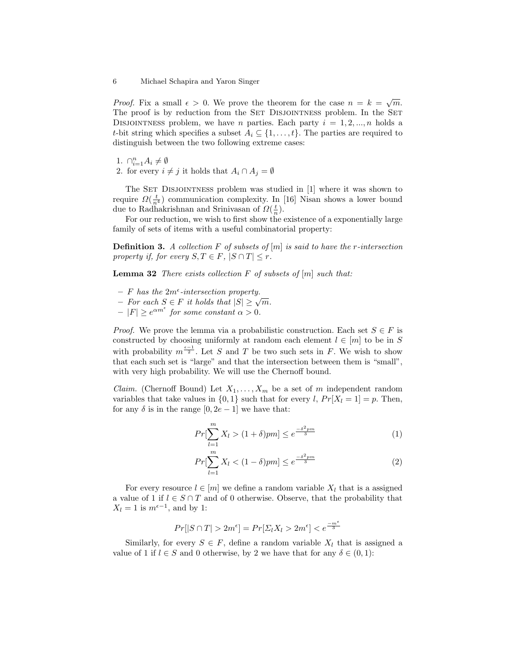*Proof.* Fix a small  $\epsilon > 0$ . We prove the theorem for the case  $n = k = \sqrt{m}$ . The proof is by reduction from the SET DISJOINTNESS problem. In the SET DISJOINTNESS problem, we have *n* parties. Each party  $i = 1, 2, ..., n$  holds a t-bit string which specifies a subset  $A_i \subseteq \{1, \ldots, t\}$ . The parties are required to distinguish between the two following extreme cases:

- 1.  $\bigcap_{i=1}^{n} A_i \neq \emptyset$
- 2. for every  $i \neq j$  it holds that  $A_i \cap A_j = \emptyset$

The SET DISJOINTNESS problem was studied in [1] where it was shown to require  $\Omega(\frac{t}{n^4})$  communication complexity. In [16] Nisan shows a lower bound due to Radhakrishnan and Srinivasan of  $\Omega(\frac{t}{n})$ .

For our reduction, we wish to first show the existence of a exponentially large family of sets of items with a useful combinatorial property:

**Definition 3.** A collection F of subsets of  $[m]$  is said to have the r-intersection property if, for every  $S, T \in F$ ,  $|S \cap T| \leq r$ .

**Lemma 32** There exists collection  $F$  of subsets of  $[m]$  such that:

- $F$  has the  $2m^{\epsilon}$ -intersection property.
- $-$  F nus the zm-intersection property.<br>  $-$  For each  $S \in F$  it holds that  $|S| \geq \sqrt{m}$ .
- $|F| \geq e^{\alpha m^{\epsilon}}$  for some constant  $\alpha > 0$ .

*Proof.* We prove the lemma via a probabilistic construction. Each set  $S \in F$  is constructed by choosing uniformly at random each element  $l \in [m]$  to be in S with probability  $m^{\frac{\epsilon-1}{2}}$ . Let S and T be two such sets in F. We wish to show that each such set is "large" and that the intersection between them is "small", with very high probability. We will use the Chernoff bound.

*Claim.* (Chernoff Bound) Let  $X_1, \ldots, X_m$  be a set of m independent random variables that take values in  $\{0, 1\}$  such that for every l,  $Pr[X_l = 1] = p$ . Then, for any  $\delta$  is in the range  $[0, 2e - 1]$  we have that:

$$
Pr[\sum_{l=1}^{m} X_l > (1+\delta)pm] \le e^{\frac{-\delta^2pm}{3}} \tag{1}
$$

$$
Pr[\sum_{l=1}^{m} X_l < (1 - \delta)pm] \le e^{\frac{-\delta^2pm}{3}} \tag{2}
$$

For every resource  $l \in [m]$  we define a random variable  $X_l$  that is a assigned a value of 1 if  $l \in S \cap T$  and of 0 otherwise. Observe, that the probability that  $X_l = 1$  is  $m^{\epsilon-1}$ , and by 1:

$$
Pr[|S\cap T|>2m^{\epsilon}] = Pr[\varSigma_l X_l > 2m^{\epsilon}] < e^{\frac{-m^{\epsilon}}{3}}
$$

Similarly, for every  $S \in F$ , define a random variable  $X_l$  that is assigned a value of 1 if  $l \in S$  and 0 otherwise, by 2 we have that for any  $\delta \in (0,1)$ :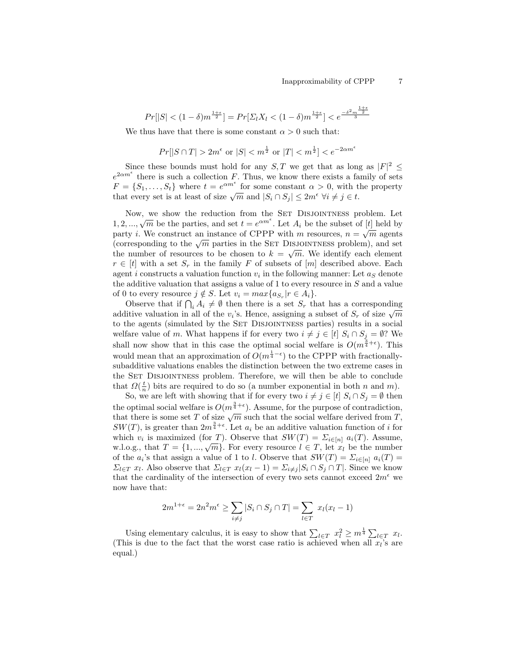$$
Pr[|S| < (1 - \delta)m^{\frac{1+\epsilon}{2}}] = Pr[\Sigma_l X_l < (1 - \delta)m^{\frac{1+\epsilon}{2}}] < e^{\frac{-\delta^2 m^{\frac{1+\epsilon}{2}}}{3}}
$$

We thus have that there is some constant  $\alpha > 0$  such that:

$$
Pr[|S \cap T| > 2m^{\epsilon} \text{ or } |S| < m^{\frac{1}{2}} \text{ or } |T| < m^{\frac{1}{2}}] < e^{-2\alpha m^{\epsilon}}
$$

Since these bounds must hold for any  $S, T$  we get that as long as  $|F|^2 \leq$  $e^{2\alpha m^{\epsilon}}$  there is such a collection F. Thus, we know there exists a family of sets  $F = \{S_1, \ldots, S_t\}$  where  $t = e^{\alpha m^{\epsilon}}$  for some constant  $\alpha > 0$ , with the property  $t = \{3_1, \ldots, 3_t\}$  where  $t = e^{-t}$  for some constant  $\alpha > 0$ , when  $t$  that every set is at least of size  $\sqrt{m}$  and  $|S_i \cap S_j| \leq 2m^{\epsilon} \forall i \neq j \in t$ .

Now, we show the reduction from the SET DISJOINTNESS problem. Let 1, 2, ...,  $\sqrt{m}$  be the parties, and set  $t = e^{\alpha m^{\epsilon}}$ . Let  $A_i$  be the subset of [t] held by party *i*. We construct an instance of CPPP with m resources,  $n = \sqrt{m}$  agents party *i*. We construct an instance of CFFF with *m* resources,  $n = \sqrt{m}$  agents (corresponding to the  $\sqrt{m}$  parties in the SET DISJOINTNESS problem), and set the number of resources to be chosen to  $k = \sqrt{m}$ . We identify each element  $r \in [t]$  with a set  $S_r$  in the family F of subsets of  $[m]$  described above. Each agent *i* constructs a valuation function  $v_i$  in the following manner: Let  $a_S$  denote the additive valuation that assigns a value of  $1$  to every resource in  $S$  and a value of 0 to every resource  $j \notin S$ . Let  $v_i = max\{a_{S_r}|r \in A_i\}$ .

Observe that if  $\bigcap_i A_i \neq \emptyset$  then there is a set  $S_r$  that has a corresponding Observe that if  $\prod_i A_i \neq \emptyset$  then there is a set  $S_r$  that has a corresponding additive valuation in all of the  $v_i$ 's. Hence, assigning a subset of  $S_r$  of size  $\sqrt{m}$ to the agents (simulated by the SET DISJOINTNESS parties) results in a social welfare value of m. What happens if for every two  $i \neq j \in [t]$   $S_i \cap S_j = \emptyset$ ? We shall now show that in this case the optimal social welfare is  $O(m^{\frac{3}{4}+\epsilon})$ . This would mean that an approximation of  $O(m^{\frac{1}{4}-\epsilon})$  to the CPPP with fractionallysubadditive valuations enables the distinction between the two extreme cases in the SET DISJOINTNESS problem. Therefore, we will then be able to conclude that  $\Omega(\frac{t}{n})$  bits are required to do so (a number exponential in both n and m).

So, we are left with showing that if for every two  $i \neq j \in [t]$   $S_i \cap S_j = \emptyset$  then the optimal social welfare is  $O(m^{\frac{3}{4}+\epsilon})$ . Assume, for the purpose of contradiction, the optimal social weilare is  $O(m^4)$ . Assume, for the purpose of contradiction, that there is some set T of size  $\sqrt{m}$  such that the social welfare derived from T,  $SW(T)$ , is greater than  $2m^{\frac{3}{4}+\epsilon}$ . Let  $a_i$  be an additive valuation function of i for which  $v_i$  is maximized (for T). Observe that  $SW(T) = \sum_{i \in [n]} a_i(T)$ . Assume, which  $v_i$  is maximized (for *I*). Observe that  $SW(T) = \sum_{i \in [n]} u_i(T)$ . Assume,<br>w.l.o.g., that  $T = \{1, ..., \sqrt{m}\}$ . For every resource  $l \in T$ , let  $x_l$  be the number of the  $a_i$ 's that assign a value of 1 to l. Observe that  $SW(T) = \sum_{i \in [n]} a_i(T)$  $\Sigma_{l \in T} x_l$ . Also observe that  $\Sigma_{l \in T} x_l(x_l - 1) = \Sigma_{i \neq j} |S_i \cap S_j \cap T|$ . Since we know that the cardinality of the intersection of every two sets cannot exceed  $2m^{\epsilon}$  we now have that:

$$
2m^{1+\epsilon} = 2n^2 m^{\epsilon} \ge \sum_{i \ne j} |S_i \cap S_j \cap T| = \sum_{l \in T} x_l (x_l - 1)
$$

Using elementary calculus, it is easy to show that  $\sum_{l \in T} x_l^2 \ge m^{\frac{1}{4}} \sum_{l \in T} x_l$ . (This is due to the fact that the worst case ratio is achieved when all  $x_i$ 's are equal.)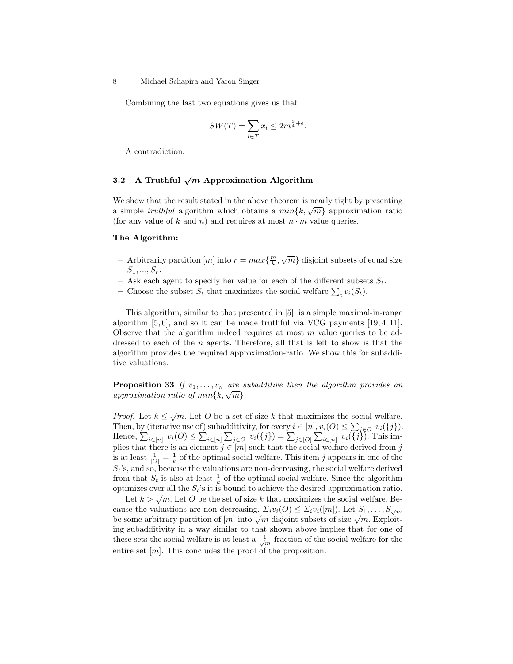Combining the last two equations gives us that

$$
SW(T) = \sum_{l \in T} x_l \le 2m^{\frac{3}{4} + \epsilon}.
$$

A contradiction.

## 3.2 A Truthful  $\sqrt{m}$  Approximation Algorithm

We show that the result stated in the above theorem is nearly tight by presenting we show that the result stated in the above theorem is hearty tight by presenting<br>a simple *truthful* algorithm which obtains a  $min\{k, \sqrt{m}\}\$ approximation ratio (for any value of k and n) and requires at most  $n \cdot m$  value queries.

## The Algorithm:

- Arbitrarily partition  $[m]$  into  $r = max\{\frac{m}{k}, \sqrt{m}\}\$ disjoint subsets of equal size  $S_1, ..., S_r.$
- Ask each agent to specify her value for each of the different subsets  $S_t$ .
- Choose the subset  $S_t$  that maximizes the social welfare  $\sum_i v_i(S_t)$ .

This algorithm, similar to that presented in [5], is a simple maximal-in-range algorithm  $[5, 6]$ , and so it can be made truthful via VCG payments  $[19, 4, 11]$ . Observe that the algorithm indeed requires at most  $m$  value queries to be addressed to each of the n agents. Therefore, all that is left to show is that the algorithm provides the required approximation-ratio. We show this for subadditive valuations.

**Proposition 33** If  $v_1, \ldots, v_n$  are subadditive then the algorithm provides an **Proposition 33** *If*  $v_1, \ldots, v_n$  are *s* approximation ratio of  $min\{k, \sqrt{m}\}\$ .

*Proof.* Let  $k \leq \sqrt{m}$ . Let O be a set of size k that maximizes the social welfare. Then, by (iterative use of) subadditivity, for every  $i \in [n]$ ,  $v_i(O) \leq \sum_{j \in O} v_i(\{j\})$ . Hence,  $\sum_{i\in[n]} v_i(0) \leq \sum_{i\in[n]} \sum_{j\in O} v_i(\{j\}) = \sum_{j\in[O]} \sum_{i\in[n]} v_i(\{j\})$ . This implies that there is an element  $j \in [m]$  such that the social welfare derived from j is at least  $\frac{1}{|O|} = \frac{1}{k}$  of the optimal social welfare. This item j appears in one of the  $S_t$ 's, and so, because the valuations are non-decreasing, the social welfare derived from that  $S_t$  is also at least  $\frac{1}{k}$  of the optimal social welfare. Since the algorithm optimizes over all the  $S_t$ 's it is bound to achieve the desired approximation ratio.

Let  $k > \sqrt{m}$ . Let O be the set of size k that maximizes the social welfare. Because the valuations are non-decreasing,  $\Sigma_i v_i(O) \leq \Sigma_i v_i([m])$ . Let  $S_1, \ldots, S_{\sqrt{m}}$ cause the valuations are non-decreasing,  $\mathcal{L}_i v_i(\mathcal{O}) \leq \mathcal{L}_i v_i(|m|)$ . Let  $\mathcal{S}_1, \ldots, \mathcal{S}_{\sqrt{m}}$ <br>be some arbitrary partition of  $[m]$  into  $\sqrt{m}$  disjoint subsets of size  $\sqrt{m}$ . Exploiting subadditivity in a way similar to that shown above implies that for one of these sets the social welfare is at least a  $\frac{1}{\sqrt{m}}$  fraction of the social welfare for the entire set  $[m]$ . This concludes the proof of the proposition.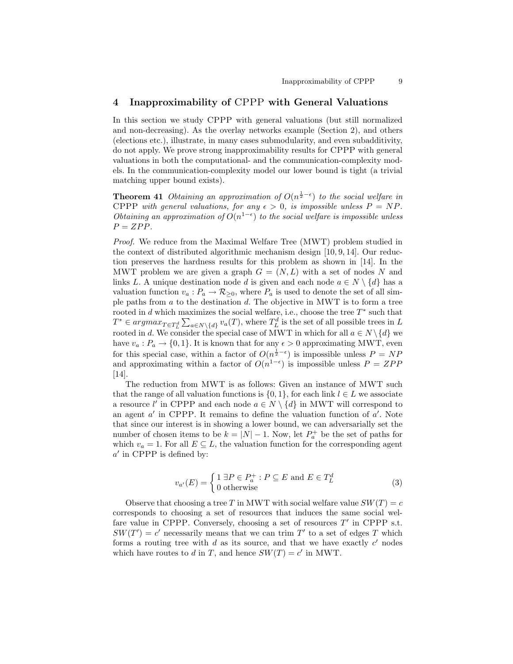# 4 Inapproximability of CPPP with General Valuations

In this section we study CPPP with general valuations (but still normalized and non-decreasing). As the overlay networks example (Section 2), and others (elections etc.), illustrate, in many cases submodularity, and even subadditivity, do not apply. We prove strong inapproximability results for CPPP with general valuations in both the computational- and the communication-complexity models. In the communication-complexity model our lower bound is tight (a trivial matching upper bound exists).

**Theorem 41** Obtaining an approximation of  $O(n^{\frac{1}{2}-\epsilon})$  to the social welfare in CPPP with general valuations, for any  $\epsilon > 0$ , is impossible unless  $P = NP$ . Obtaining an approximation of  $O(n^{1-\epsilon})$  to the social welfare is impossible unless  $P = ZPP$ .

Proof. We reduce from the Maximal Welfare Tree (MWT) problem studied in the context of distributed algorithmic mechanism design [10, 9, 14]. Our reduction preserves the hardness results for this problem as shown in [14]. In the MWT problem we are given a graph  $G = (N, L)$  with a set of nodes N and links L. A unique destination node d is given and each node  $a \in N \setminus \{d\}$  has a valuation function  $v_a: P_a \to \mathcal{R}_{\geq 0}$ , where  $P_a$  is used to denote the set of all simple paths from  $a$  to the destination  $d$ . The objective in MWT is to form a tree rooted in  $d$  which maximizes the social welfare, i.e., choose the tree  $T^*$  such that  $T^* \in argmax_{T \in T_L^d} \sum_{a \in N \setminus \{d\}} v_a(T)$ , where  $T_L^d$  is the set of all possible trees in L rooted in d. We consider the special case of MWT in which for all  $a \in N \setminus \{d\}$  we have  $v_a : P_a \to \{0, 1\}$ . It is known that for any  $\epsilon > 0$  approximating MWT, even for this special case, within a factor of  $O(n^{\frac{1}{2}-\epsilon})$  is impossible unless  $P = NP$ and approximating within a factor of  $O(n^{1-\epsilon})$  is impossible unless  $P = ZPP$ [14].

The reduction from MWT is as follows: Given an instance of MWT such that the range of all valuation functions is  $\{0, 1\}$ , for each link  $l \in L$  we associate a resource l' in CPPP and each node  $a \in N \setminus \{d\}$  in MWT will correspond to an agent  $a'$  in CPPP. It remains to define the valuation function of  $a'$ . Note that since our interest is in showing a lower bound, we can adversarially set the number of chosen items to be  $k = |N| - 1$ . Now, let  $P_a^+$  be the set of paths for which  $v_a = 1$ . For all  $E \subseteq L$ , the valuation function for the corresponding agent  $a'$  in CPPP is defined by:

$$
v_{a'}(E) = \begin{cases} 1 \ \exists P \in P_a^+ : P \subseteq E \text{ and } E \in T_L^d \\ 0 \text{ otherwise} \end{cases}
$$
 (3)

Observe that choosing a tree T in MWT with social welfare value  $SW(T) = c$ corresponds to choosing a set of resources that induces the same social welfare value in CPPP. Conversely, choosing a set of resources  $T'$  in CPPP s.t.  $SW(T') = c'$  necessarily means that we can trim T' to a set of edges T which forms a routing tree with  $d$  as its source, and that we have exactly  $c'$  nodes which have routes to d in T, and hence  $SW(T) = c'$  in MWT.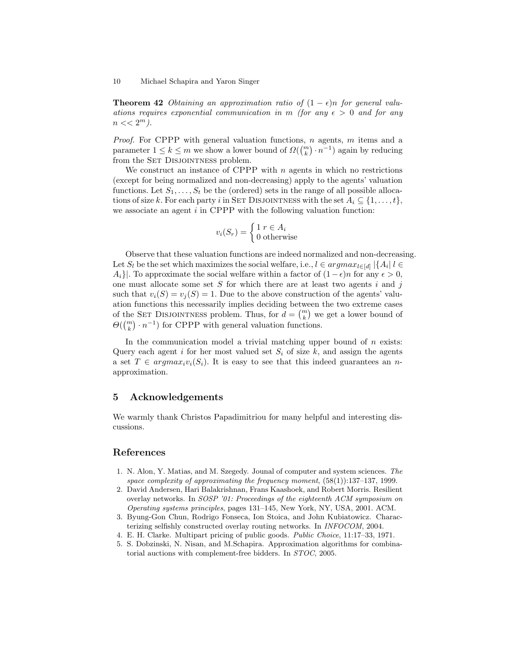**Theorem 42** Obtaining an approximation ratio of  $(1 - \epsilon)n$  for general valuations requires exponential communication in m (for any  $\epsilon > 0$  and for any  $n << 2^m$ ).

*Proof.* For CPPP with general valuation functions,  $n$  agents,  $m$  items and a parameter  $1 \leq k \leq m$  we show a lower bound of  $\Omega(\binom{m}{k} \cdot n^{-1})$  again by reducing from the SET DISJOINTNESS problem.

We construct an instance of CPPP with  $n$  agents in which no restrictions (except for being normalized and non-decreasing) apply to the agents' valuation functions. Let  $S_1, \ldots, S_t$  be the (ordered) sets in the range of all possible allocations of size k. For each party i in SET DISJOINTNESS with the set  $A_i \subseteq \{1, \ldots, t\}$ , we associate an agent  $i$  in CPPP with the following valuation function:

$$
v_i(S_r) = \begin{cases} 1 \ r \in A_i \\ 0 \text{ otherwise} \end{cases}
$$

Observe that these valuation functions are indeed normalized and non-decreasing. Let  $S_l$  be the set which maximizes the social welfare, i.e.,  $l \in argmax_{l \in [d]} |\{A_i | l \in$  $A_i$ }. To approximate the social welfare within a factor of  $(1 - \epsilon)n$  for any  $\epsilon > 0$ , one must allocate some set  $S$  for which there are at least two agents  $i$  and  $j$ such that  $v_i(S) = v_i(S) = 1$ . Due to the above construction of the agents' valuation functions this necessarily implies deciding between the two extreme cases of the SET DISJOINTNESS problem. Thus, for  $d = \binom{m}{k}$  we get a lower bound of  $\Theta(\binom{m}{k} \cdot n^{-1})$  for CPPP with general valuation functions.

In the communication model a trivial matching upper bound of  $n$  exists: Query each agent i for her most valued set  $S_i$  of size k, and assign the agents a set  $T \in argmax_i v_i(S_i)$ . It is easy to see that this indeed guarantees an napproximation.

## 5 Acknowledgements

We warmly thank Christos Papadimitriou for many helpful and interesting discussions.

## References

- 1. N. Alon, Y. Matias, and M. Szegedy. Jounal of computer and system sciences. The space complexity of approximating the frequency moment,  $(58(1))$ :137-137, 1999.
- 2. David Andersen, Hari Balakrishnan, Frans Kaashoek, and Robert Morris. Resilient overlay networks. In SOSP '01: Proceedings of the eighteenth ACM symposium on Operating systems principles, pages 131–145, New York, NY, USA, 2001. ACM.
- 3. Byung-Gon Chun, Rodrigo Fonseca, Ion Stoica, and John Kubiatowicz. Characterizing selfishly constructed overlay routing networks. In INFOCOM, 2004.
- 4. E. H. Clarke. Multipart pricing of public goods. Public Choice, 11:17–33, 1971.
- 5. S. Dobzinski, N. Nisan, and M.Schapira. Approximation algorithms for combinatorial auctions with complement-free bidders. In STOC, 2005.